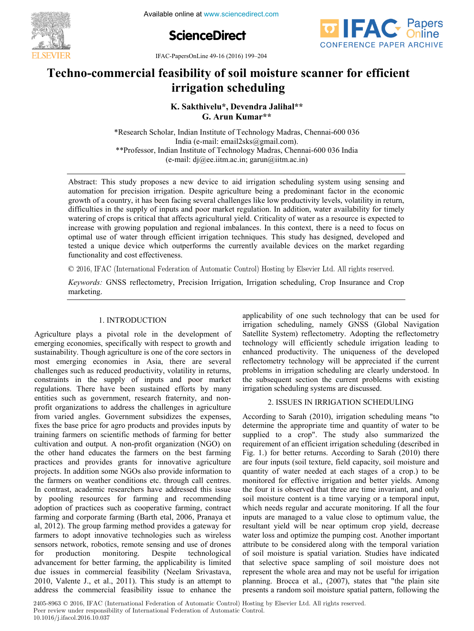

**ScienceDirect**



**EVIER** IFAC-PapersOnLine 49-16 (2016) 199-204

## Techno-commercial feasibility of soil moisture scanner for efficient **irrigation scheduling irrigation scheduling irrigation scheduling K. Sakthivelu\*, Devendra Jalihal\*\***

**K. Sakthivelu\*, Devendra Jalihal\*\* G. Arun Kumar\*\* G. Arun Kumar\*\* G. Arun Kumar\*\* G. Arun Kumar\*\* K. Sakthivelu\*, Devendra Jalihal\*\* K. Sakthivelu\*, Devendra Jalihal\*\***

\*\*Professor, Indian Institute of Technology Madras, Chennai-600 036 India  $\text{Froressor, natural Institute of Technology Maatas, Chemiar-000 036 mula}$ <br>(e-mail: dj@ee.iitm.ac.in; garun@iitm.ac.in)  $\sum_{i=1}^{n}$ \*Research Scholar, Indian Institute of Technology Madras, Chennai-600 036 India (e-mail: email2sks@gmail.com).  $(e$ -man.  $f(x)$   $\omega$ ,  $f(x)$   $\alpha$ ,  $m$ ,  $g(x)$   $m$  $\alpha$ ,  $m$ 

 $\mathcal{C}^{\text{max}}_{\text{max}}$ 

(e) automation for precision irrigation. Despite agriculture being a predominant factor in the economic<br>growth of a country, it has been facing several challenges like low productivity levels, volatility in return, difficulties in the supply of inputs and poor market regulation. In addition, water availability for timely uniculates in the supply of inputs and poor market regulation. In addition, water availability for three y<br>watering of crops is critical that affects agricultural yield. Criticality of water as a resource is expected to increase with growing population and regional imbalances. In this context, there is a need to focus on optimal use of water through efficient irrigation techniques. This study has designed, developed and beginned use of water unbugin effective infiguron techniques. This study has designed, developed and tested a unique device which outperforms the currently available devices on the market regarding functionality and cost e functionality and cost effectiveness.  $t_{\text{max}}$  and the currently available devices on the market regarding devices on the market regarding  $\alpha$ Abstract: This study proposes a new device to aid irrigation scheduling system using sensing and automation for precision irrigation. Despite agriculture being a predominant factor in the economic  $\overline{\phantom{a}}$  (e-mail: diagonalism.ac.in) action.ac.in; garun@iitm.ac.in optimal unique device which outperforms the currently available devices on the market regarding

© 2016, IFAC (International Federation of Automatic Control) Hosting by Elsevier Ltd. All rights reserved.

*Keywords:* GNSS reflectometry, Precision Irrigation, Irrigation scheduling, Crop Insurance and Crop marketing. marketing. Keywords: GNSS reflectometry, Precision Irrigation, Irrigation scheduling, Crop Insurance and Crop

# 1. INTRODUCTION

Agriculture plays a pivotal role in the development of explicitude plays a probability with respect to growth and<br>emerging economies, specifically with respect to growth and sustainability. Though agriculture is one of the core sectors in sustainability. Though agriculture is one of the core sectors in<br>most emerging economies in Asia, there are several challenges such as reduced productivity, volatility in returns, constraints in the supply of inputs and poor market regulations. There have been sustained efforts by many entities such as government, research fraternity, and nonprofit organizations to address the challenges in agriculture profit organizations to address the changings in agriculture<br>from varied angles. Government subsidizes the expenses, fixes the base price for agro products and provides inputs by training farmers on scientific methods of farming for better cultivation and output. A non-profit organization (NGO) on the other hand educates the farmers on the best farming practices and provides grants for innovative agriculture practices and provides grants for importance agriculture<br>projects. In addition some NGOs also provide information to the farmers on weather conditions etc. through call centres. In contrast, academic researchers have addressed this issue by pooling resources for farming and recommending by pooling resources for familing and recommending<br>adoption of practices such as cooperative farming, contract farming and corporate farming (Barth etal, 2006, Pranaya et al, 2012). The group farming method provides a gateway for farmers to adopt innovative technologies such as wireless examiners to adopt innovative technologies such as wheress<br>sensors network, robotics, remote sensing and use of drones for production monitoring. Despite technological for production monitoring. Despite technological not production monitoring. Despite technological advancement for better farming, the applicability is limited due issues in commercial feasibility (Neelam Srivastava, 2010, Valente J., et al., 2011). This study is an attempt to address the commercial feasibility issue to enhance the address the commercial feasibility issue to enhance the Agriculture plays a pivolal role in the development of advancement for better farming, the applicability is limited Agriculture plays a pivotal role in the development of Agriculture plays a pivotal role in the development of regulations. There have been sustanted errors by many entities such as government, research fraternity, and nonfarmers to adopt innovative technologies such as wireless farmers to adopt innovative technologies such as wireless applicability of one such technology that can be used for irrigation scheduling, namely GNSS (Global Navigation Satellite System) reflectometry. Adopting the reflectometry technology will efficiently schedule irrigation leading to electrology will efficiently schedule firigation leading to<br>enhanced productivity. The uniqueness of the developed reflectometry technology will be appreciated if the current problems in irrigation scheduling are clearly understood. In the subsequent section the current problems with existing the subsequent section the current problems with existing ine subsequent section the current problems with irrigation scheduling systems are discussed. applicability of one such technology that can be used for Satellite System) reflectometry. Adopting the reflectometry Satellite System) reflectometry. Adopting the reflectometry technology will efficiently schedule irrigation leading to technology will efficiently schedule irrigation leading to

applicability of one such technology that can be used for one such technology that can be used for  $\alpha$ 

# 2. ISSUES IN IRRIGATION SCHEDULING

According to Sarah (2010), irrigation scheduling means "to determine the appropriate time and quantity of water to be supplied to a crop". The study also summarized the requirement of an efficient irrigation scheduling (described in Fig. 1.) for better returns. According to Sarah (2010) there are four inputs (soil texture, field capacity, soil moisture and quantity of water needed at each stages of a crop.) to be monitored for effective irrigation and better yields. Among the four it is observed that three are time invariant, and only soil moisture content is a time varying or a temporal input, which needs regular and accurate monitoring. If all the four inputs are managed to a value close to optimum value, the resultant yield will be near optimum crop yield, decrease water loss and optimize the pumping cost. Another important attribute to be considered along with the temporal variation of soil moisture is spatial variation. Studies have indicated that selective space sampling of soil moisture does not represent the whole area and may not be useful for irrigation planning. Brocca et al., (2007), states that "the plain site<br>planning. Brocca et al., (2007), states that "the plain site presents a random soil moisture spatial pattern, following the presents a random soil moisture spatial pattern, following the According to Sarah  $(2010)$ , irrigation scheduling means "to

2405-8963 © 2016, IFAC (International Federation of Automatic Control) Hosting by Elsevier Ltd. All rights reserved. Peer review under responsibility of International Federation of Automatic Control.<br>
1992 10.1016/j.ifacol.2016.10.037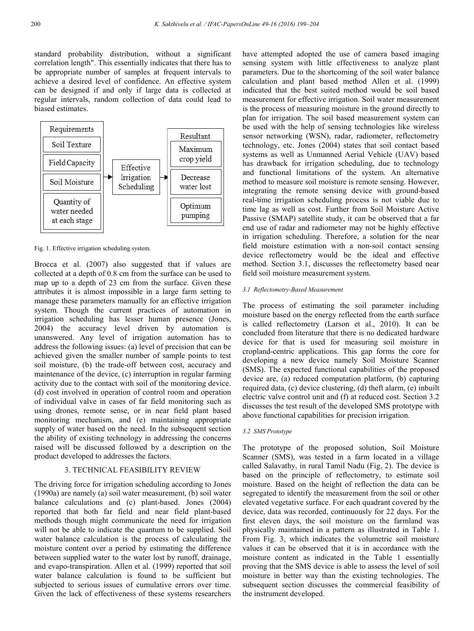standard probability distribution, without a significant correlation length". This essentially indicates that there has to be appropriate number of samples at frequent intervals to achieve a desired level of confidence. An effective system can be designed if and only if large data is collected at regular intervals, random collection of data could lead to biased estimates.



Fig. 1. Effective irrigation scheduling system.

Brocca et al. (2007) also suggested that if values are collected at a depth of 0.8 cm from the surface can be used to map up to a depth of 23 cm from the surface. Given these attributes it is almost impossible in a large farm setting to manage these parameters manually for an effective irrigation system. Though the current practices of automation in irrigation scheduling has lesser human presence (Jones, 2004) the accuracy level driven by automation is unanswered. Any level of irrigation automation has to address the following issues: (a) level of precision that can be achieved given the smaller number of sample points to test soil moisture, (b) the trade-off between cost, accuracy and maintenance of the device, (c) interruption in regular farming activity due to the contact with soil of the monitoring device. (d) cost involved in operation of control room and operation of individual valve in cases of far field monitoring such as using drones, remote sense, or in near field plant based monitoring mechanism, and (e) maintaining appropriate supply of water based on the need. In the subsequent section the ability of existing technology in addressing the concerns raised will be discussed followed by a description on the product developed to addresses the factors.

## 3. TECHNICAL FEASIBILITY REVIEW

The driving force for irrigation scheduling according to Jones (1990a) are namely (a) soil water measurement, (b) soil water balance calculations and (c) plant-based. Jones (2004) reported that both far field and near field plant-based methods though might communicate the need for irrigation will not be able to indicate the quantum to be supplied. Soil water balance calculation is the process of calculating the moisture content over a period by estimating the difference between supplied water to the water lost by runoff, drainage, and evapo-transpiration. Allen et al. (1999) reported that soil water balance calculation is found to be sufficient but subjected to serious issues of cumulative errors over time. Given the lack of effectiveness of these systems researchers have attempted adopted the use of camera based imaging sensing system with little effectiveness to analyze plant parameters. Due to the shortcoming of the soil water balance calculation and plant based method Allen et al. (1999) indicated that the best suited method would be soil based measurement for effective irrigation. Soil water measurement is the process of measuring moisture in the ground directly to plan for irrigation. The soil based measurement system can be used with the help of sensing technologies like wireless sensor networking (WSN), radar, radiometer, reflectometry technology, etc. Jones (2004) states that soil contact based systems as well as Unmanned Aerial Vehicle (UAV) based has drawback for irrigation scheduling, due to technology and functional limitations of the system. An alternative method to measure soil moisture is remote sensing. However, integrating the remote sensing device with ground-based real-time irrigation scheduling process is not viable due to time lag as well as cost. Further from Soil Moisture Active Passive (SMAP) satellite study, it can be observed that a far end use of radar and radiometer may not be highly effective in irrigation scheduling. Therefore, a solution for the near field moisture estimation with a non-soil contact sensing device reflectometry would be the ideal and effective method. Section 3.1, discusses the reflectometry based near field soil moisture measurement system.

#### *3.1 Reflectometry-Based Measurement*

The process of estimating the soil parameter including moisture based on the energy reflected from the earth surface is called reflectometry (Larson et al., 2010). It can be concluded from literature that there is no dedicated hardware device for that is used for measuring soil moisture in cropland-centric applications. This gap forms the core for developing a new device namely Soil Moisture Scanner (SMS). The expected functional capabilities of the proposed device are, (a) reduced computation platform, (b) capturing required data, (c) device clustering, (d) theft alarm, (e) inbuilt electric valve control unit and (f) at reduced cost. Section 3.2 discusses the test result of the developed SMS prototype with above functional capabilities for precision irrigation.

#### *3.2 SMS Prototype*

The prototype of the proposed solution, Soil Moisture Scanner (SMS), was tested in a farm located in a village called Salavathy, in rural Tamil Nadu (Fig. 2). The device is based on the principle of reflectometry, to estimate soil moisture. Based on the height of reflection the data can be segregated to identify the measurement from the soil or other elevated vegetative surface. For each quadrant covered by the device, data was recorded, continuously for 22 days. For the first eleven days, the soil moisture on the farmland was physically maintained in a pattern as illustrated in Table 1. From Fig. 3, which indicates the volumetric soil moisture values it can be observed that it is in accordance with the moisture content as indicated in the Table 1 essentially proving that the SMS device is able to assess the level of soil moisture in better way than the existing technologies. The subsequent section discusses the commercial feasibility of the instrument developed.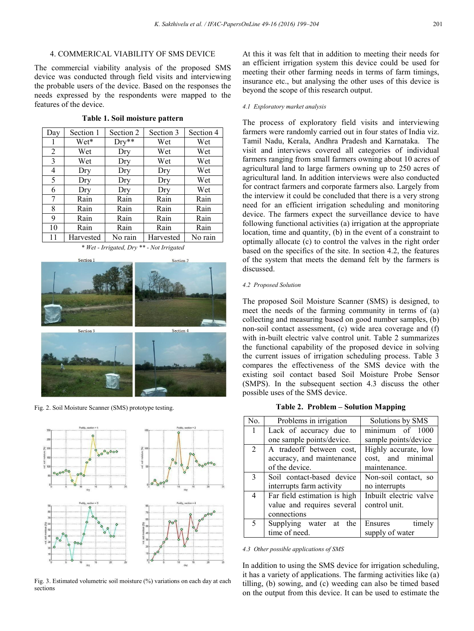## 4. COMMERICAL VIABILITY OF SMS DEVICE

The commercial viability analysis of the proposed SMS device was conducted through field visits and interviewing the probable users of the device. Based on the responses the needs expressed by the respondents were mapped to the features of the device.

| Day | Section 1 | Section 2 | Section 3 | Section 4 |
|-----|-----------|-----------|-----------|-----------|
| ı   | Wet*      | $Dry**$   | Wet       | Wet       |
| 2   | Wet       | Dry       | Wet       | Wet       |
| 3   | Wet       | Dry       | Wet       | Wet       |
| 4   | Dry       | Dry       | Dry       | Wet       |
| 5   | Dry       | Dry       | Dry       | Wet       |
| 6   | Dry       | Dry       | Dry       | Wet       |
| 7   | Rain      | Rain      | Rain      | Rain      |
| 8   | Rain      | Rain      | Rain      | Rain      |
| 9   | Rain      | Rain      | Rain      | Rain      |
| 10  | Rain      | Rain      | Rain      | Rain      |
| 11  | Harvested | No rain   | Harvested | No rain   |

**Table 1. Soil moisture pattern**

*\* Wet - Irrigated, Dry \*\* - Not Irrigated*



Fig. 2. Soil Moisture Scanner (SMS) prototype testing.



Fig. 3. Estimated volumetric soil moisture (%) variations on each day at each sections

At this it was felt that in addition to meeting their needs for an efficient irrigation system this device could be used for meeting their other farming needs in terms of farm timings, insurance etc., but analysing the other uses of this device is beyond the scope of this research output.

### *4.1 Exploratory market analysis*

The process of exploratory field visits and interviewing farmers were randomly carried out in four states of India viz. Tamil Nadu, Kerala, Andhra Pradesh and Karnataka. The visit and interviews covered all categories of individual farmers ranging from small farmers owning about 10 acres of agricultural land to large farmers owning up to 250 acres of agricultural land. In addition interviews were also conducted for contract farmers and corporate farmers also. Largely from the interview it could be concluded that there is a very strong need for an efficient irrigation scheduling and monitoring device. The farmers expect the surveillance device to have following functional activities (a) irrigation at the appropriate location, time and quantity, (b) in the event of a constraint to optimally allocate (c) to control the valves in the right order based on the specifics of the site. In section 4.2, the features of the system that meets the demand felt by the farmers is discussed.

#### *4.2 Proposed Solution*

The proposed Soil Moisture Scanner (SMS) is designed, to meet the needs of the farming community in terms of (a) collecting and measuring based on good number samples, (b) non-soil contact assessment, (c) wide area coverage and (f) with in-built electric valve control unit. Table 2 summarizes the functional capability of the proposed device in solving the current issues of irrigation scheduling process. Table 3 compares the effectiveness of the SMS device with the existing soil contact based Soil Moisture Probe Sensor (SMPS). In the subsequent section 4.3 discuss the other possible uses of the SMS device.

### **Table 2. Problem – Solution Mapping**

| No.            | Problems in irrigation       | Solutions by SMS       |
|----------------|------------------------------|------------------------|
| 1              | Lack of accuracy due to      | minimum of 1000        |
|                | one sample points/device.    | sample points/device   |
| $\mathfrak{D}$ | A tradeoff between cost,     | Highly accurate, low   |
|                | accuracy, and maintenance    | cost, and minimal      |
|                | of the device.               | maintenance.           |
| 3              | Soil contact-based device    | Non-soil contact, so   |
|                | interrupts farm activity     | no interrupts          |
| 4              | Far field estimation is high | Inbuilt electric valve |
|                | value and requires several   | control unit.          |
|                | connections                  |                        |
| 5              | Supplying water<br>at the    | timely<br>Ensures      |
|                | time of need.                | supply of water        |

*4.3 Other possible applications of SMS*

In addition to using the SMS device for irrigation scheduling, it has a variety of applications. The farming activities like (a) tilling, (b) sowing, and (c) weeding can also be timed based on the output from this device. It can be used to estimate the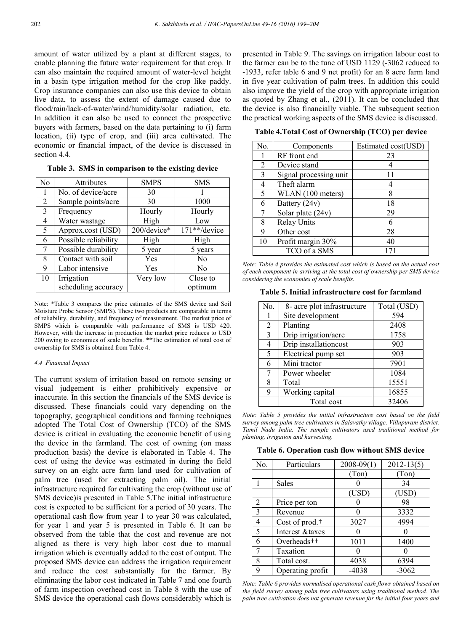amount of water utilized by a plant at different stages, to enable planning the future water requirement for that crop. It can also maintain the required amount of water-level height in a basin type irrigation method for the crop like paddy. Crop insurance companies can also use this device to obtain live data, to assess the extent of damage caused due to flood/rain/lack-of-water/wind/humidity/solar radiation, etc. In addition it can also be used to connect the prospective buyers with farmers, based on the data pertaining to (i) farm location, (ii) type of crop, and (iii) area cultivated. The economic or financial impact, of the device is discussed in section 4.4

| No | <b>Attributes</b>    | <b>SMPS</b> | <b>SMS</b>     |
|----|----------------------|-------------|----------------|
|    | No. of device/acre   | 30          |                |
| 2  | Sample points/acre   | 30          | 1000           |
| 3  | Frequency            | Hourly      | Hourly         |
| 4  | Water wastage        | High        | Low            |
| 5  | Approx.cost (USD)    | 200/device* | 171**/device   |
| 6  | Possible reliability | High        | High           |
| 7  | Possible durability  | 5 year      | 5 years        |
| 8  | Contact with soil    | Yes         | N <sub>0</sub> |
| 9  | Labor intensive      | Yes         | N <sub>0</sub> |
| 10 | Irrigation           | Very low    | Close to       |
|    | scheduling accuracy  |             | optimum        |

**Table 3. SMS in comparison to the existing device** 

Note: \*Table 3 compares the price estimates of the SMS device and Soil Moisture Probe Sensor (SMPS). These two products are comparable in terms of reliability, durability, and frequency of measurement. The market price of SMPS which is comparable with performance of SMS is USD 420. However, with the increase in production the market price reduces to USD 200 owing to economies of scale benefits. \*\*The estimation of total cost of ownership for SMS is obtained from Table 4.

#### *4.4 Financial Impact*

The current system of irritation based on remote sensing or visual judgement is either prohibitively expensive or inaccurate. In this section the financials of the SMS device is discussed. These financials could vary depending on the topography, geographical conditions and farming techniques adopted The Total Cost of Ownership (TCO) of the SMS device is critical in evaluating the economic benefit of using the device in the farmland. The cost of owning (on mass production basis) the device is elaborated in Table 4. The cost of using the device was estimated in during the field survey on an eight acre farm land used for cultivation of palm tree (used for extracting palm oil). The initial infrastructure required for cultivating the crop (without use of SMS device)is presented in Table 5.The initial infrastructure cost is expected to be sufficient for a period of 30 years. The operational cash flow from year 1 to year 30 was calculated, for year 1 and year 5 is presented in Table 6. It can be observed from the table that the cost and revenue are not aligned as there is very high labor cost due to manual irrigation which is eventually added to the cost of output. The proposed SMS device can address the irrigation requirement and reduce the cost substantially for the farmer. By eliminating the labor cost indicated in Table 7 and one fourth of farm inspection overhead cost in Table 8 with the use of SMS device the operational cash flows considerably which is

presented in Table 9. The savings on irrigation labour cost to the farmer can be to the tune of USD 1129 (-3062 reduced to -1933, refer table 6 and 9 net profit) for an 8 acre farm land in five year cultivation of palm trees. In addition this could also improve the yield of the crop with appropriate irrigation as quoted by Zhang et al., (2011). It can be concluded that the device is also financially viable. The subsequent section the practical working aspects of the SMS device is discussed.

**Table 4.Total Cost of Ownership (TCO) per device**

| No.            | Components             | Estimated cost(USD) |
|----------------|------------------------|---------------------|
|                | RF front end           | 23                  |
| $\overline{2}$ | Device stand           | 4                   |
| 3              | Signal processing unit | 11                  |
| 4              | Theft alarm            | 4                   |
| 5              | WLAN (100 meters)      | 8                   |
| 6              | Battery (24v)          | 18                  |
| 7              | Solar plate $(24v)$    | 29                  |
| 8              | <b>Relay Units</b>     | 6                   |
| 9              | Other cost             | 28                  |
| 10             | Profit margin 30%      | 40                  |
|                | TCO of a SMS           | 171                 |

*Note: Table 4 provides the estimated cost which is based on the actual cost of each component in arriving at the total cost of ownership per SMS device considering the economies of scale benefits.*

**Table 5. Initial infrastructure cost for farmland**

| No.           | 8- acre plot infrastructure | Total (USD) |
|---------------|-----------------------------|-------------|
|               | Site development            | 594         |
| 2             | Planting                    | 2408        |
| $\mathcal{E}$ | Drip irrigation/acre        | 1758        |
| 4             | Drip installationcost       | 903         |
| 5             | Electrical pump set         | 903         |
| 6             | Mini tractor                | 7901        |
|               | Power wheeler               | 1084        |
| 8             | Total                       | 15551       |
| 9             | Working capital             | 16855       |
|               | Total cost                  | 32406       |

*Note: Table 5 provides the initial infrastructure cost based on the field survey among palm tree cultivators in Salavathy village, Villupuram district, Tamil Nadu India. The sample cultivators used traditional method for planting, irrigation and harvesting.*

**Table 6. Operation cash flow without SMS device**

| No. | Particulars                | $2008 - 09(1)$ | $2012 - 13(5)$ |
|-----|----------------------------|----------------|----------------|
|     |                            | (Ton)          | (Ton)          |
|     | Sales                      |                | 34             |
|     |                            | (USD)          | (USD)          |
| 2   | Price per ton              |                | 98             |
| 3   | Revenue                    |                | 3332           |
| 4   | Cost of prod. <sup>+</sup> | 3027           | 4994           |
| 5   | Interest & taxes           |                |                |
| 6   | Overheads <sup>++</sup>    | 1011           | 1400           |
|     | Taxation                   |                |                |
| 8   | Total cost.                | 4038           | 6394           |
| 9   | Operating profit           | $-4038$        | $-3062$        |

*Note: Table 6 provides normalised operational cash flows obtained based on the field survey among palm tree cultivators using traditional method. The palm tree cultivation does not generate revenue for the initial four years and*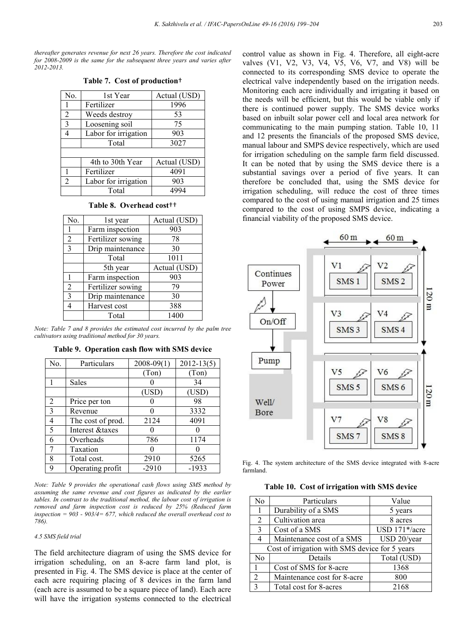*thereafter generates revenue for next 26 years. Therefore the cost indicated for 2008-2009 is the same for the subsequent three years and varies after 2012-2013.*

|  |  |  |  |  | Table 7. Cost of production <sup>+</sup> |  |
|--|--|--|--|--|------------------------------------------|--|
|--|--|--|--|--|------------------------------------------|--|

| No.            | 1st Year             | Actual (USD) |
|----------------|----------------------|--------------|
|                | Fertilizer           | 1996         |
| 2              | Weeds destroy        | 53           |
| 3              | Loosening soil       | 75           |
|                | Labor for irrigation | 903          |
|                | Total                | 3027         |
|                |                      |              |
|                | 4th to 30th Year     | Actual (USD) |
| 1              | Fertilizer           | 4091         |
| $\overline{2}$ | Labor for irrigation | 903          |
|                | Total                | 4994         |

| No.            | 1st year          | Actual (USD) |
|----------------|-------------------|--------------|
|                | Farm inspection   | 903          |
| 2              | Fertilizer sowing | 78           |
| $\mathcal{E}$  | Drip maintenance  | 30           |
|                | Total             | 1011         |
|                | 5th year          | Actual (USD) |
|                | Farm inspection   | 903          |
| $\overline{2}$ | Fertilizer sowing | 79           |
| $\mathcal{R}$  | Drip maintenance  | 30           |
|                | Harvest cost      | 388          |
|                | Total             | 1400         |

*Note: Table 7 and 8 provides the estimated cost incurred by the palm tree cultivators using traditional method for 30 years.*

| No.            | Particulars       | $2008 - 09(1)$ | $2012 - 13(5)$ |
|----------------|-------------------|----------------|----------------|
|                |                   | (Ton)          | (Ton)          |
|                | Sales             |                | 34             |
|                |                   | (USD)          | (USD)          |
| $\overline{2}$ | Price per ton     |                | 98             |
| 3              | Revenue           |                | 3332           |
| 4              | The cost of prod. | 2124           | 4091           |
| 5              | Interest &taxes   |                |                |
| 6              | Overheads         | 786            | 1174           |
|                | Taxation          |                |                |
| 8              | Total cost.       | 2910           | 5265           |
| 9              | Operating profit  | $-2910$        | $-1933$        |

**Table 9. Operation cash flow with SMS device**

*Note: Table 9 provides the operational cash flows using SMS method by assuming the same revenue and cost figures as indicated by the earlier tables. In contrast to the traditional method, the labour cost of irrigation is removed and farm inspection cost is reduced by 25% (Reduced farm inspection = 903 - 903/4= 677, which reduced the overall overhead cost to 786).*

#### *4.5 SMS field trial*

The field architecture diagram of using the SMS device for irrigation scheduling, on an 8-acre farm land plot, is presented in Fig. 4. The SMS device is place at the center of each acre requiring placing of 8 devices in the farm land (each acre is assumed to be a square piece of land). Each acre will have the irrigation systems connected to the electrical

control value as shown in Fig. 4. Therefore, all eight-acre valves (V1, V2, V3, V4, V5, V6, V7, and V8) will be connected to its corresponding SMS device to operate the electrical valve independently based on the irrigation needs. Monitoring each acre individually and irrigating it based on the needs will be efficient, but this would be viable only if there is continued power supply. The SMS device works based on inbuilt solar power cell and local area network for communicating to the main pumping station. Table 10, 11 and 12 presents the financials of the proposed SMS device, manual labour and SMPS device respectively, which are used for irrigation scheduling on the sample farm field discussed. It can be noted that by using the SMS device there is a substantial savings over a period of five years. It can therefore be concluded that, using the SMS device for irrigation scheduling, will reduce the cost of three times compared to the cost of using manual irrigation and 25 times compared to the cost of using SMPS device, indicating a financial viability of the proposed SMS device.



Fig. 4. The system architecture of the SMS device integrated with 8-acre farmland.

**Table 10. Cost of irrigation with SMS device**

| No             | Particulars                                    | Value         |
|----------------|------------------------------------------------|---------------|
| 1              | Durability of a SMS                            | 5 years       |
| 2              | Cultivation area                               | 8 acres       |
| 3              | Cost of a SMS                                  | USD 171*/acre |
| 4              | Maintenance cost of a SMS                      | USD 20/year   |
|                | Cost of irrigation with SMS device for 5 years |               |
| No             | Details                                        | Total (USD)   |
| 1              | Cost of SMS for 8-acre                         | 1368          |
| $\overline{2}$ | Maintenance cost for 8-acre                    | 800           |
| $\mathcal{E}$  | Total cost for 8-acres                         | 2168          |